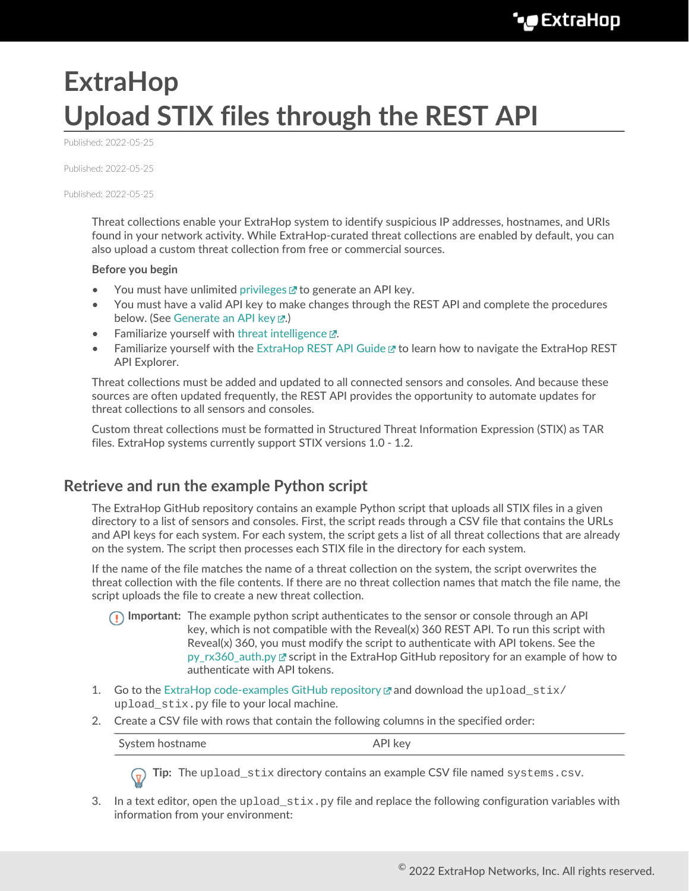## **ExtraHop Upload STIX files through the REST API**

Published: 2022-05-25

Published: 2022-05-25

Published: 2022-05-25

Threat collections enable your ExtraHop system to identify suspicious IP addresses, hostnames, and URIs found in your network activity. While ExtraHop-curated threat collections are enabled by default, you can also upload a custom threat collection from free or commercial sources.

## **Before you begin**

- You must have unlimited [privileges](https://docs.extrahop.com/8.9/users-overview/#user-privileges) E to generate an API key.
- You must have a valid API key to make changes through the REST API and complete the procedures below. (See [Generate an API key](https://docs.extrahop.com/8.9/rest-api-guide/#generate-an-api-key) ...)
- Familiarize yourself with [threat intelligence](https://docs.extrahop.com/8.9/threat-intelligence)  $\mathbb{E}.$
- Familiarize yourself with the [ExtraHop REST API Guide](https://docs.extrahop.com/8.9/rest-api-guide) E to learn how to navigate the ExtraHop REST API Explorer.

Threat collections must be added and updated to all connected sensors and consoles. And because these sources are often updated frequently, the REST API provides the opportunity to automate updates for threat collections to all sensors and consoles.

Custom threat collections must be formatted in Structured Threat Information Expression (STIX) as TAR files. ExtraHop systems currently support STIX versions 1.0 - 1.2.

## **Retrieve and run the example Python script**

The ExtraHop GitHub repository contains an example Python script that uploads all STIX files in a given directory to a list of sensors and consoles. First, the script reads through a CSV file that contains the URLs and API keys for each system. For each system, the script gets a list of all threat collections that are already on the system. The script then processes each STIX file in the directory for each system.

If the name of the file matches the name of a threat collection on the system, the script overwrites the threat collection with the file contents. If there are no threat collection names that match the file name, the script uploads the file to create a new threat collection.

- **Important:** The example python script authenticates to the sensor or console through an API key, which is not compatible with the Reveal(x) 360 REST API. To run this script with Reveal(x) 360, you must modify the script to authenticate with API tokens. See the py rx360 auth.py  $\mathbb Z$  script in the ExtraHop GitHub repository for an example of how to authenticate with API tokens.
- 1. Go to the [ExtraHop code-examples GitHub repository](https://github.com/ExtraHop/code-examples/tree/main/upload_stix)  $\mathbb Z$  and download the upload stix/ upload stix.py file to your local machine.
- 2. Create a CSV file with rows that contain the following columns in the specified order:

System hostname API key

**Tip:** The upload\_stix directory contains an example CSV file named systems.csv.

3. In a text editor, open the upload  $\text{six.py}$  file and replace the following configuration variables with information from your environment: